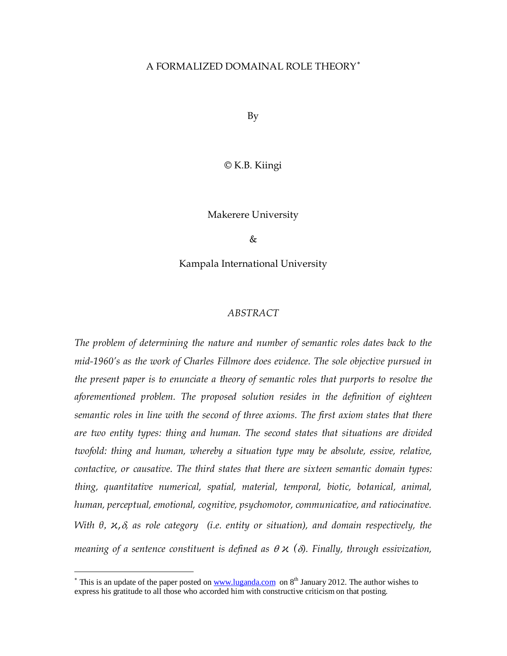#### A FORMALIZED DOMAINAL ROLE THEORY[∗](#page-0-0)

By

© K.B. Kiingi

Makerere University

 $\&$ 

Kampala International University

#### *ABSTRACT*

*The problem of determining the nature and number of semantic roles dates back to the mid-1960's as the work of Charles Fillmore does evidence. The sole objective pursued in the present paper is to enunciate a theory of semantic roles that purports to resolve the aforementioned problem. The proposed solution resides in the definition of eighteen semantic roles in line with the second of three axioms. The first axiom states that there are two entity types: thing and human. The second states that situations are divided twofold: thing and human, whereby a situation type may be absolute, essive, relative, contactive, or causative. The third states that there are sixteen semantic domain types: thing, quantitative numerical, spatial, material, temporal, biotic, botanical, animal, human, perceptual, emotional, cognitive, psychomotor, communicative, and ratiocinative. With θ,*  $\alpha$ *,δ, as role category (i.e. entity or situation), and domain respectively, the meaning of a sentence constituent is defined as* θ *ϰ (*δ*). Finally, through essivization,* 

<span id="page-0-0"></span><sup>&</sup>lt;sup>\*</sup> This is an update of the paper posted o[n www.luganda.com](http://www.luganda.com/) on  $8<sup>th</sup>$  January 2012. The author wishes to express his gratitude to all those who accorded him with constructive criticism on that posting.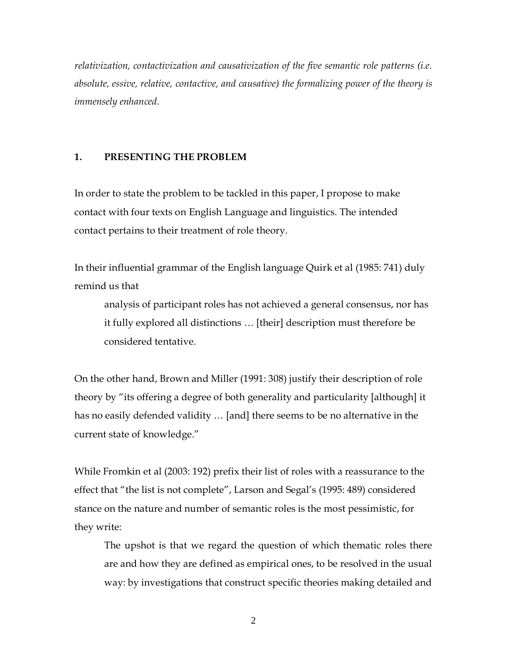*relativization, contactivization and causativization of the five semantic role patterns (i.e. absolute, essive, relative, contactive, and causative) the formalizing power of the theory is immensely enhanced.* 

## **1. PRESENTING THE PROBLEM**

In order to state the problem to be tackled in this paper, I propose to make contact with four texts on English Language and linguistics. The intended contact pertains to their treatment of role theory.

In their influential grammar of the English language Quirk et al (1985: 741) duly remind us that

analysis of participant roles has not achieved a general consensus, nor has it fully explored all distinctions … [their] description must therefore be considered tentative.

On the other hand, Brown and Miller (1991: 308) justify their description of role theory by "its offering a degree of both generality and particularity [although] it has no easily defended validity … [and] there seems to be no alternative in the current state of knowledge."

While Fromkin et al (2003: 192) prefix their list of roles with a reassurance to the effect that "the list is not complete", Larson and Segal's (1995: 489) considered stance on the nature and number of semantic roles is the most pessimistic, for they write:

The upshot is that we regard the question of which thematic roles there are and how they are defined as empirical ones, to be resolved in the usual way: by investigations that construct specific theories making detailed and

2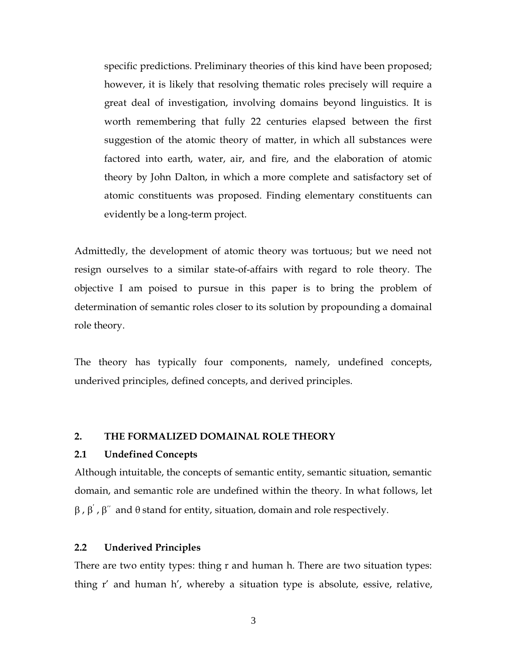specific predictions. Preliminary theories of this kind have been proposed; however, it is likely that resolving thematic roles precisely will require a great deal of investigation, involving domains beyond linguistics. It is worth remembering that fully 22 centuries elapsed between the first suggestion of the atomic theory of matter, in which all substances were factored into earth, water, air, and fire, and the elaboration of atomic theory by John Dalton, in which a more complete and satisfactory set of atomic constituents was proposed. Finding elementary constituents can evidently be a long-term project.

Admittedly, the development of atomic theory was tortuous; but we need not resign ourselves to a similar state-of-affairs with regard to role theory. The objective I am poised to pursue in this paper is to bring the problem of determination of semantic roles closer to its solution by propounding a domainal role theory.

The theory has typically four components, namely, undefined concepts, underived principles, defined concepts, and derived principles.

#### **2. THE FORMALIZED DOMAINAL ROLE THEORY**

#### **2.1 Undefined Concepts**

Although intuitable, the concepts of semantic entity, semantic situation, semantic domain, and semantic role are undefined within the theory. In what follows, let  $\beta$  ,  $\beta'$  ,  $\beta''$  and  $\theta$  stand for entity, situation, domain and role respectively.

### **2.2 Underived Principles**

There are two entity types: thing r and human h. There are two situation types: thing r' and human h', whereby a situation type is absolute, essive, relative,

3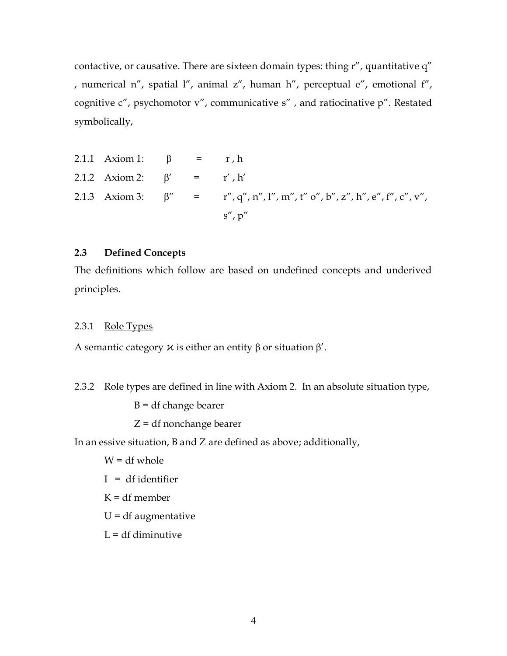contactive, or causative. There are sixteen domain types: thing r", quantitative q" , numerical n", spatial l", animal z", human h", perceptual e", emotional f", cognitive c", psychomotor v", communicative s" , and ratiocinative p". Restated symbolically,

| 2.1.1 Axiom 1: $\beta$ = r, h    |  |                                                                                                   |
|----------------------------------|--|---------------------------------------------------------------------------------------------------|
| 2.1.2 Axiom 2: $\beta' = r', h'$ |  |                                                                                                   |
|                                  |  | 2.1.3 Axiom 3: $\beta'' = r'', q'', n'', l'', m'', t''' o'', b'', z'', h'', e'', f'', c'', v''$ , |
|                                  |  | $s''$ , $p''$                                                                                     |

## **2.3 Defined Concepts**

The definitions which follow are based on undefined concepts and underived principles.

### 2.3.1 Role Types

A semantic category  $\chi$  is either an entity  $\beta$  or situation  $\beta'$ .

2.3.2 Role types are defined in line with Axiom 2. In an absolute situation type,

 $B = df change bearer$ 

Z = df nonchange bearer

In an essive situation, B and Z are defined as above; additionally,

 $W = df$  whole

- I = df identifier
- $K = df$  member
- $U = df$  augmentative
- $L = df$  diminutive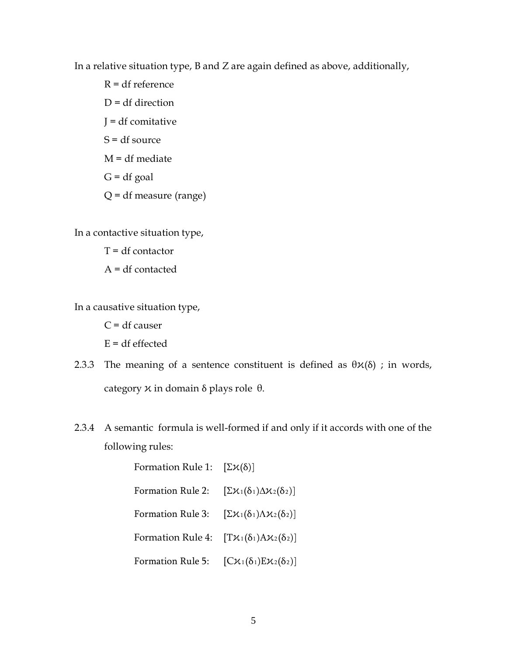In a relative situation type, B and Z are again defined as above, additionally,

R = df reference  $D = df$  direction J = df comitative  $S = df$  source  $M = df$  mediate  $G = df goal$ Q = df measure (range)

In a contactive situation type,

 $T = df contactor$ A = df contacted

In a causative situation type,

 $C = df$  causer  $E = df$  effected

- 2.3.3 The meaning of a sentence constituent is defined as  $\theta \varkappa(\delta)$ ; in words, category  $\chi$  in domain δ plays role θ.
- 2.3.4 A semantic formula is well-formed if and only if it accords with one of the following rules:

| Formation Rule 1: $[\Sigma \varkappa(\delta)]$                         |                                                     |
|------------------------------------------------------------------------|-----------------------------------------------------|
| Formation Rule 2:                                                      | $[\Sigma \chi_1(\delta_1) \Delta \chi_2(\delta_2)]$ |
| Formation Rule 3:                                                      | $[\Sigma \chi_1(\delta_1)\Lambda \chi_2(\delta_2)]$ |
| Formation Rule 4: $[T\mathcal{X}_1(\delta_1)A\mathcal{X}_2(\delta_2)]$ |                                                     |
| Formation Rule 5: $[C\mathcal{K}_1(\delta_1)E\mathcal{K}_2(\delta_2)]$ |                                                     |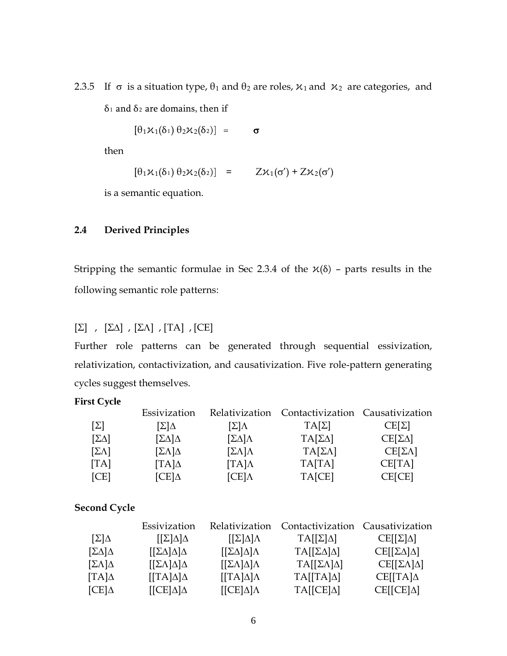2.3.5 If  $\sigma$  is a situation type,  $\theta_1$  and  $\theta_2$  are roles,  $x_1$  and  $x_2$  are categories, and δ<sub>1</sub> and δ<sub>2</sub> are domains, then if

 $[\theta_1 \mathcal{K}_1(\delta_1) \theta_2 \mathcal{K}_2(\delta_2)] = \sigma$ 

then

$$
[\theta_1 \varkappa_1(\delta_1) \theta_2 \varkappa_2(\delta_2)] = Z \varkappa_1(\sigma') + Z \varkappa_2(\sigma')
$$

is a semantic equation.

# **2.4 Derived Principles**

Stripping the semantic formulae in Sec 2.3.4 of the  $x(\delta)$  – parts results in the following semantic role patterns:

# $[\Sigma]$ ,  $[\Sigma\Delta]$ ,  $[\Sigma\Lambda]$ ,  $[TA]$ ,  $[CE]$

Further role patterns can be generated through sequential essivization, relativization, contactivization, and causativization. Five role-pattern generating cycles suggest themselves.

### **First Cycle**

|                        | Essivization                     |                     | Relativization Contactivization Causativization |                    |
|------------------------|----------------------------------|---------------------|-------------------------------------------------|--------------------|
| $\lceil \Sigma \rceil$ | $[\Sigma]\Delta$                 | [Σ]Λ                | $TA[\Sigma]$                                    | $CE[\Sigma]$       |
| $[\Sigma \Delta]$      | $[\Sigma\Delta]\Delta$           | $[\Sigma \Delta]$ A | $TA[\Sigma\Delta]$                              | $CE[\Sigma\Delta]$ |
| $[\Sigma \Lambda]$     | $[\Sigma \Lambda] \Delta$        | $[\Sigma \Lambda]$  | $TA[\Sigma\Lambda]$                             | $CE[\SigmaΛ]$      |
| [TA]                   | $\lceil \text{TA} \rceil \Delta$ | $[TA]\Lambda$       | TA[TA]                                          | CE[TA]             |
| [CE]                   | $\mathop{\rm [CE]}\nolimits$     | $[CE]\Lambda$       | TA[CE]                                          | CE[CE]             |

# **Second Cycle**

|                           | Essivization                   | Relativization                  | Contactivization Causativization |                             |
|---------------------------|--------------------------------|---------------------------------|----------------------------------|-----------------------------|
| $[\Sigma]\Delta$          | $[[\Sigma]\Delta]\Delta$       | $[2]\Delta]\Lambda$             | $TA[[\Sigma]\Delta]$             | $CE[[\Sigma]\Delta]$        |
| $[\Sigma \Delta] \Delta$  | $[[\Sigma\Delta]\Delta]\Delta$ | $[[\Sigma\Delta]\Delta]\Lambda$ | $TA[[\Sigma\Delta]\Delta]$       | $CE[[\Sigma\Delta]\Delta]$  |
| $[\Sigma \Lambda] \Delta$ | $[[\Sigma \Lambda] \Delta]$    | $[[\Sigma \Lambda] \Delta]$     | $TA[[\Sigma\Lambda]\Delta]$      | $CE[[\Sigma\Lambda]\Delta]$ |
| $\lbrack TA\rbrack\Delta$ | $[TA]\Delta]\Delta$            | $[TA]\Delta]\Lambda$            | $TA[[TA]\Delta]$                 | $CE[ TA]\Delta$             |
| $[CE]\Delta$              | $[ [CE] \Delta ] \Delta$       | $[ [CE] \Delta ] \Lambda$       | $TA[[CE]\Delta]$                 | $CE[[CE]\Delta]$            |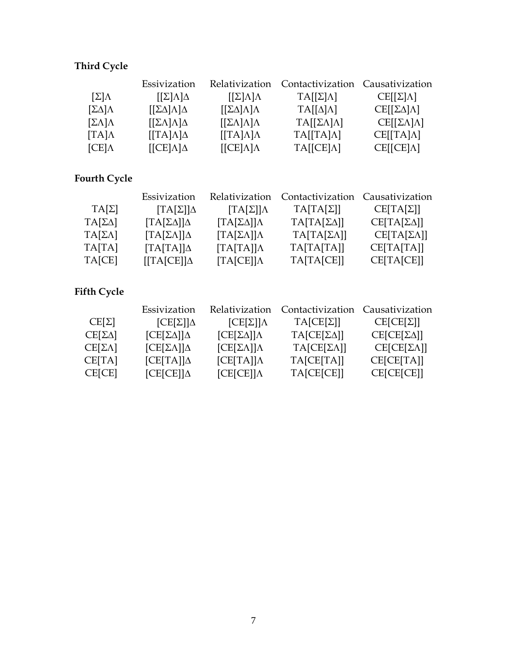# **Third Cycle**

|                       | Essivization                        | Relativization                      | Contactivization Causativization |                              |
|-----------------------|-------------------------------------|-------------------------------------|----------------------------------|------------------------------|
| $[\Sigma]\Lambda$     | $[2]\Lambda]\Delta$                 | $[2]\Lambda]\Lambda$                | $TA[[\Sigma]\Lambda]$            | $CE[[\Sigma]\Lambda]$        |
| $[\Sigma \Delta]$     | $[[\Sigma\Delta]\Lambda]\Delta$     | $[[\Sigma\Delta]\Lambda]\Lambda$    | $TA[[\Delta]\Lambda]$            | $CE[[\Sigma\Delta]\Lambda]$  |
| $[\Sigma \Lambda]$    | $[[\Sigma \Lambda] \Lambda] \Delta$ | $[\Sigma \Lambda] \Lambda] \Lambda$ | $TA[[\Sigma\Lambda]\Lambda]$     | $CE[[\Sigma\Lambda]\Lambda]$ |
| $\lbrack TA\rbrack$ A | $[TA]\Lambda]\Delta$                | $[TA]\Lambda]\Lambda$               | $TA[[TA]\Lambda]$                | $CE[[TA]\Lambda]$            |
| $[CE]\Lambda$         | $[ [CE] \Lambda ] \Delta$           | $[ [CE]$ $\Lambda$ ] $\Lambda$      | $TA[[CE]\Lambda]$                | $CE[[CE]\Lambda]$            |

# **Fourth Cycle**

|                     | Essivization                             | Relativization                            | Contactivization Causativization |                         |
|---------------------|------------------------------------------|-------------------------------------------|----------------------------------|-------------------------|
| $TA[\Sigma]$        | $T A[\Sigma]$ ] $\Delta$                 | $T A[\Sigma]$ ] $\Lambda$                 | $TA[TA[\Sigma]]$                 | $CE[TA[\Sigma]]$        |
| $TA[\Sigma\Delta]$  | $T A \left[\sum_{\Delta} \right] \Delta$ | $T A \left[\sum_{\Delta} \right] \Lambda$ | $TA[TA[\Sigma\Delta]]$           | $CE[TA[\Sigma\Delta]]$  |
| $TA[\Sigma\Lambda]$ | $T A[\Sigma\Lambda]]\Delta$              | $T A[\Sigma \Lambda]$ ] $\Lambda$         | $TA[TA[\Sigma\Lambda]]$          | $CE[TA[\Sigma\Lambda]]$ |
| TA[TA]              | $[TA[TA]]\Delta$                         | [TA[TA]]                                  | TA[TA[TA]]                       | CE[TA[TA]]              |
| TA[CE]              | $[TA[CE]]\Delta$                         | T A [CE]   A                              | TA[TA[CE]]                       | CE[TA[CE]]              |

# **Fifth Cycle**

|                     | Essivization                | Relativization               | Contactivization Causativization |                   |
|---------------------|-----------------------------|------------------------------|----------------------------------|-------------------|
| $CE[\Sigma]$        | $[CE[\Sigma]]\Delta$        | $[CE[\Sigma]]$ $\Lambda$     | $TA[CE[\Sigma]]$                 | $CE[CE[\Sigma]]$  |
| $CE[\Sigma\Delta]$  | $[CE[\Sigma\Delta]]\Delta$  | $[CE[\Sigma\Delta]]\Lambda$  | $TA[CE[\Sigma\Delta]]$           | $CE[CE[\Sigma]1]$ |
| $CE[\Sigma\Lambda]$ | $[CE[\Sigma\Lambda]]\Delta$ | $[CE[\Sigma\Lambda]]\Lambda$ | $TA[CE[\SigmaΛ]]$                | $CE[CE[\Sigma]1]$ |
| CE[TA]              | $[CE[TA]]\Delta$            | $[CE[TA]]$ $\Lambda$         | TA[CE[TA]]                       | CE[CE[TA]]        |
| <b>CE[CE]</b>       | $[CE[CE]]\Delta$            | $[CE[CE]]$ $\Lambda$         | TA[CE[CE]]                       | CE[CE[CE]]        |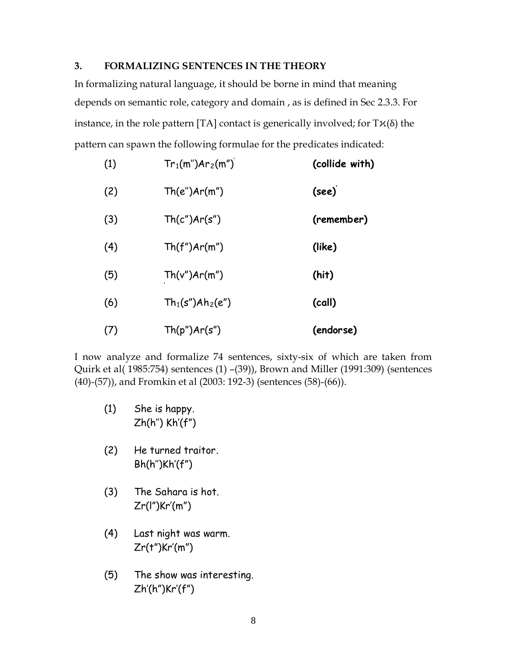## **3. FORMALIZING SENTENCES IN THE THEORY**

In formalizing natural language, it should be borne in mind that meaning depends on semantic role, category and domain , as is defined in Sec 2.3.3. For instance, in the role pattern [TA] contact is generically involved; for  $T\mathcal{H}(\delta)$  the pattern can spawn the following formulae for the predicates indicated:

| (1) | $Tr_1(m'')Ar_2(m'')$ | (collide with) |
|-----|----------------------|----------------|
| (2) | Th(e'')Ar(m'')       | (see)          |
| (3) | Th(c")Ar(s")         | (remember)     |
| (4) | Th(f'')Ar(m'')       | (like)         |
| (5) | Th(v")Ar(m")         | (hit)          |
| (6) | $Th_1(s'')Ah_2(e'')$ | (call)         |
| (7) | Th(p'')Ar(s'')       | (endorse)      |

I now analyze and formalize 74 sentences, sixty-six of which are taken from Quirk et al( 1985:754) sentences (1) –(39)), Brown and Miller (1991:309) (sentences (40)-(57)), and Fromkin et al (2003: 192-3) (sentences (58)-(66)).

- (1) She is happy. Zh(h'') Kh'(f")
- (2) He turned traitor. Bh(h'')Kh'(f")
- (3) The Sahara is hot. Zr(l")Kr'(m")
- (4) Last night was warm. Zr(t")Kr'(m")
- (5) The show was interesting. Zh'(h")Kr'(f")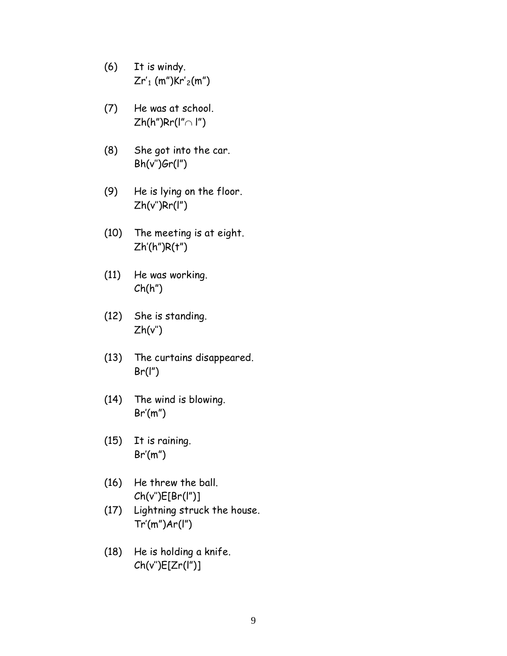- (6) It is windy.  $Zr'_{1}$  (m")Kr'<sub>2</sub>(m")
- (7) He was at school.  $Zh(h'')Rr(I'' \cap I'')$
- (8) She got into the car.  $Bh(v'')Gr(I'')$
- (9) He is lying on the floor. Zh(v'')Rr(l")
- (10) The meeting is at eight. Zh'(h")R(t")
- (11) He was working.  $Ch(h'')$
- (12) She is standing.  $Zh(v'')$
- (13) The curtains disappeared.  $Br(I")$
- (14) The wind is blowing. Br'(m")
- (15) It is raining.  $Br'(m'')$
- (16) He threw the ball. Ch(v'')E[Br(l")]
- (17) Lightning struck the house. Tr'(m")Ar(l")
- (18) He is holding a knife. Ch(v'')E[Zr(l")]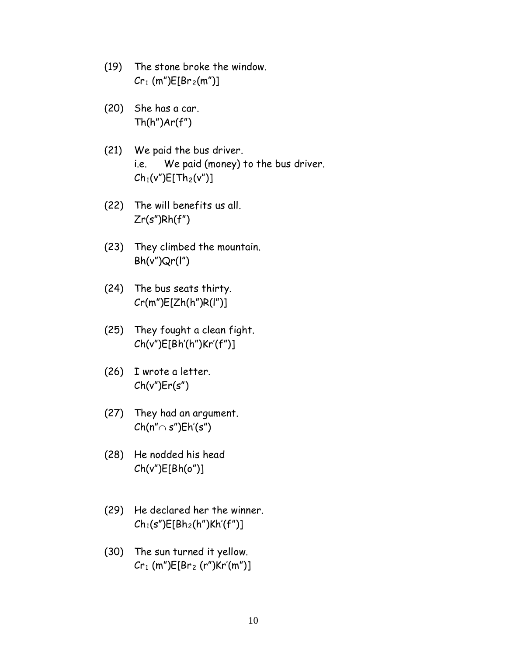- (19) The stone broke the window.  $Cr_1$  (m") $E[Br_2(m")$ ]
- (20) She has a car.  $Th(h")Ar(f")$
- (21) We paid the bus driver. i.e. We paid (money) to the bus driver.  $Ch_1(v'')E[Th_2(v'')]$
- (22) The will benefits us all.  $Zr(s")Rh(f")$
- (23) They climbed the mountain.  $Bh(v'')Qr(l'')$
- (24) The bus seats thirty. Cr(m")E[Zh(h")R(l")]
- (25) They fought a clean fight. Ch(v")E[Bh'(h")Kr'(f")]
- (26) I wrote a letter.  $Ch(v")Er(s")$
- (27) They had an argument.  $Ch(n'' \cap s'')Eh'(s'')$
- (28) He nodded his head Ch(v")E[Bh(o")]
- (29) He declared her the winner.  $Ch_1(s'')E[Bh_2(h'')Kh'(f'')]$
- (30) The sun turned it yellow.  $Cr_1$  (m") $E[Br_2$  (r") $Kr'(m'')$ ]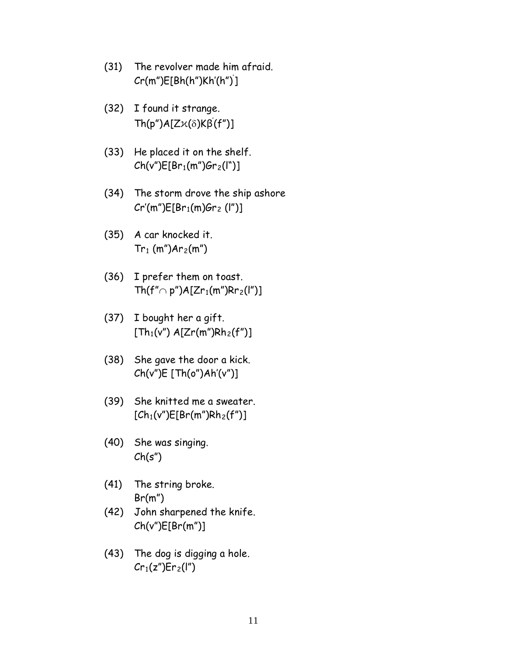- (31) The revolver made him afraid. Cr(m")E[Bh(h")Kh'(h")' ]
- (32) I found it strange. Th(p")A[Zϰ(δ)Kβ' (f")]
- (33) He placed it on the shelf.  $Ch(v")E[Br_1(m")Gr_2(l")]$
- (34) The storm drove the ship ashore  $Cr'(m'')E[Br_1(m)Gr_2 (l'')]$
- (35) A car knocked it.  $Tr_1(m'')Ar_2(m'')$
- (36) I prefer them on toast. Th(f"∩ p")A[Zr<sub>1</sub>(m")Rr<sub>2</sub>(l")]
- (37) I bought her a gift.  $[Th_1(v'')$  A[Zr(m")Rh<sub>2</sub>(f")]
- (38) She gave the door a kick. Ch(v")E [Th(o")Ah'(v")]
- (39) She knitted me a sweater.  $[Ch_1(v'')E[Br(m'')Rh_2(f'')]$
- (40) She was singing.  $Ch(s'')$
- (41) The string broke. Br(m")
- (42) John sharpened the knife. Ch(v")E[Br(m")]
- (43) The dog is digging a hole.  $Cr_1(z'')$ Er<sub>2</sub>(I'')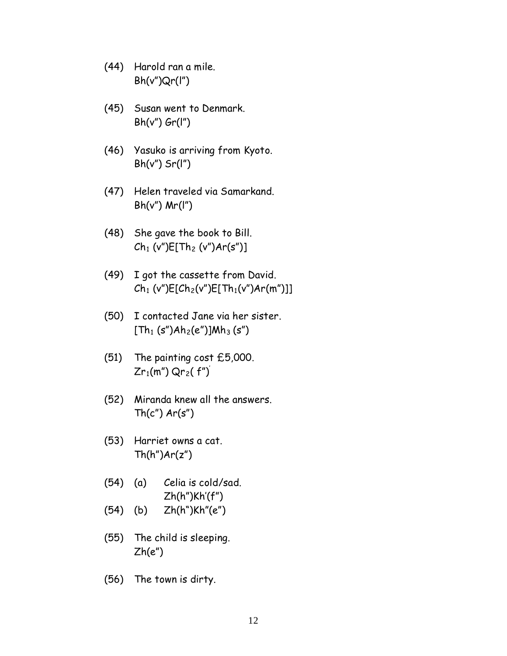- (44) Harold ran a mile.  $Bh(v'')Qr(l'')$
- (45) Susan went to Denmark.  $Bh(v'')$   $Gr(I'')$
- (46) Yasuko is arriving from Kyoto.  $Bh(v'')$  Sr(I")
- (47) Helen traveled via Samarkand.  $Bh(v'')$  Mr(I")
- (48) She gave the book to Bill.  $Ch_1 (v'')E[Th_2 (v'')Ar(s'')]$
- (49) I got the cassette from David.  $Ch_1 (v'')E[Ch_2(v'')E[Th_1(v'')Ar(m'')]]$
- (50) I contacted Jane via her sister.  $[Th_1 (s")Ah_2(e'')]Mh_3 (s'')$
- (51) The painting cost £5,000.  $Zr_1(m'')$  Qr<sub>2</sub>(f")
- (52) Miranda knew all the answers.  $Th(c")$   $Ar(s")$
- (53) Harriet owns a cat.  $Th(h")Ar(z")$
- (54) (a) Celia is cold/sad. Zh(h")Kh'(f")
- (54) (b) Zh(h")Kh"(e")
- (55) The child is sleeping.  $Zh(e'')$
- (56) The town is dirty.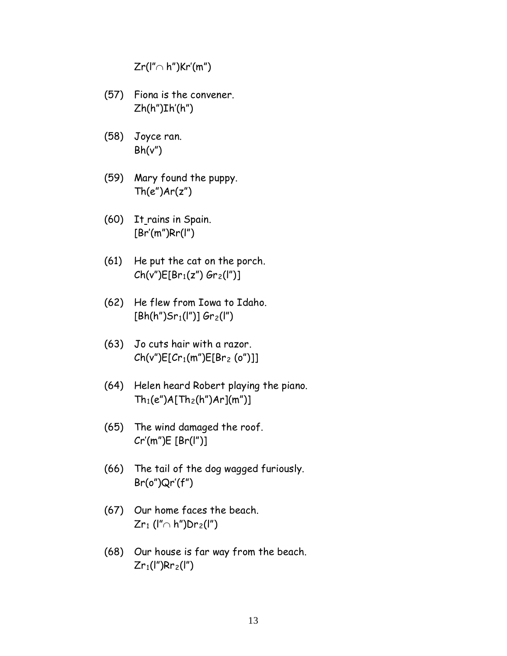Zr(l"∩ h")Kr'(m")

- (57) Fiona is the convener.  $Zh(h")Ih'(h")$
- (58) Joyce ran.  $Bh(v'')$
- (59) Mary found the puppy.  $Th(e'')Ar(z'')$
- (60) It rains in Spain. [Br'(m")Rr(l")
- (61) He put the cat on the porch.  $Ch(v")E[Br_1(z") Gr_2(I'')]$
- (62) He flew from Iowa to Idaho.  $[Bh(h")$ Sr<sub>1</sub>(l")] Gr<sub>2</sub>(l")
- (63) Jo cuts hair with a razor.  $Ch(v")E[Cr_1(m")E[Br_2(o'')]]$
- (64) Helen heard Robert playing the piano.  $Th_1(e'')A[Th_2(h'')Ar](m'')$
- (65) The wind damaged the roof. Cr'(m")E [Br(l")]
- (66) The tail of the dog wagged furiously. Br(o")Qr'(f")
- (67) Our home faces the beach.  $Zr_1$  (l"∩ h")Dr<sub>2</sub>(l")
- (68) Our house is far way from the beach.  $Zr_1(I'')Rr_2(I'')$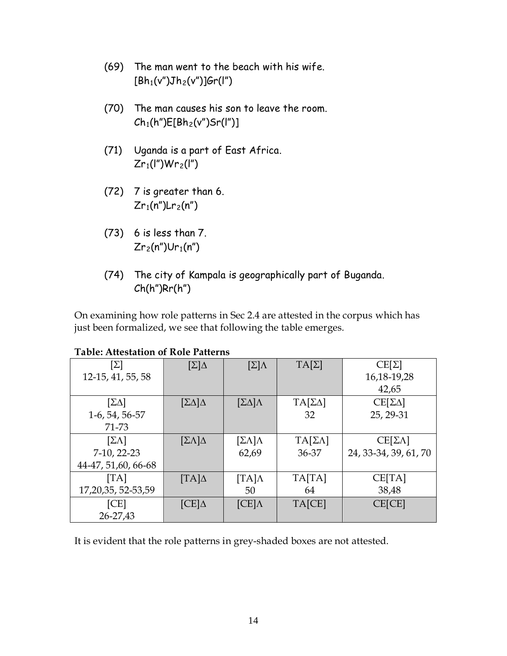- (69) The man went to the beach with his wife.  $[Bh_1(v'')Jh_2(v'')]$ Gr(I'')
- (70) The man causes his son to leave the room.  $Ch_1(h'')E[Bh_2(v'')Sr(I'')]$
- (71) Uganda is a part of East Africa.  $Zr_1(I'')Wr_2(I'')$
- (72) 7 is greater than 6.  $Zr_1(n'')Lr_2(n'')$
- (73) 6 is less than 7.  $Zr_2(n'')Ur_1(n'')$
- (74) The city of Kampala is geographically part of Buganda. Ch(h")Rr(h")

On examining how role patterns in Sec 2.4 are attested in the corpus which has just been formalized, we see that following the table emerges.

| $[\Sigma]$            | $[\Sigma]\Delta$            | $[\Sigma]\Lambda$       | $TA[\Sigma]$        | $CE[\Sigma]$          |
|-----------------------|-----------------------------|-------------------------|---------------------|-----------------------|
| 12-15, 41, 55, 58     |                             |                         |                     | 16, 18 - 19, 28       |
|                       |                             |                         |                     | 42,65                 |
| $[\Sigma \Delta]$     | $[\Sigma\Delta]\Delta$      | $[\Sigma\Delta]\Lambda$ | $TA[\Sigma\Delta]$  | $CE[\Sigma\Delta]$    |
| 1-6, 54, 56-57        |                             |                         | 32                  | 25, 29-31             |
| 71-73                 |                             |                         |                     |                       |
| $[\Sigma \Lambda]$    | $[\Sigma \Lambda] \Delta$   | $[\Sigma \Lambda]$      | $TA[\Sigma\Lambda]$ | $CE[\SigmaΛ]$         |
| 7-10, 22-23           |                             | 62,69                   | 36-37               | 24, 33-34, 39, 61, 70 |
| 44-47, 51, 60, 66-68  |                             |                         |                     |                       |
| [TA]                  | $\lbrack TA \rbrack \Delta$ | $[TA]\Lambda$           | TA[TA]              | CE[TA]                |
| 17, 20, 35, 52-53, 59 |                             | 50                      | 64                  | 38,48                 |
| [CE]                  | $[CE]\Delta$                | $[CE]\Lambda$           | TA[CE]              | CE[CE]                |
| 26-27,43              |                             |                         |                     |                       |

# **Table: Attestation of Role Patterns**

It is evident that the role patterns in grey-shaded boxes are not attested.